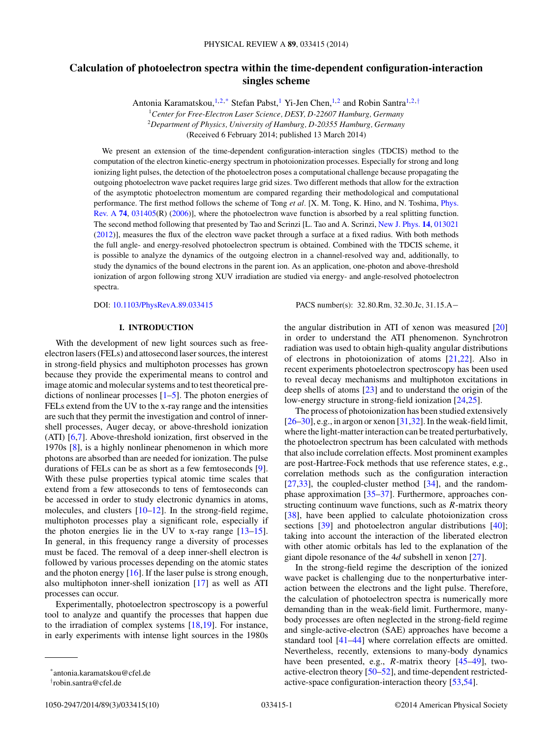# **Calculation of photoelectron spectra within the time-dependent configuration-interaction singles scheme**

Antonia Karamatskou,<sup>1,2,\*</sup> Stefan Pabst,<sup>1</sup> Yi-Jen Chen,<sup>1,2</sup> and Robin Santra<sup>1,2,†</sup>

<sup>1</sup>*Center for Free-Electron Laser Science, DESY, D-22607 Hamburg, Germany* <sup>2</sup>*Department of Physics, University of Hamburg, D-20355 Hamburg, Germany* (Received 6 February 2014; published 13 March 2014)

We present an extension of the time-dependent configuration-interaction singles (TDCIS) method to the computation of the electron kinetic-energy spectrum in photoionization processes. Especially for strong and long ionizing light pulses, the detection of the photoelectron poses a computational challenge because propagating the outgoing photoelectron wave packet requires large grid sizes. Two different methods that allow for the extraction of the asymptotic photoelectron momentum are compared regarding their methodological and computational performance. The first method follows the scheme of Tong *et al.* [X. M. Tong, K. Hino, and N. Toshima, Phys. Rev. A **[74](http://dx.doi.org/10.1103/PhysRevA.74.031405)**, [031405\(R\) \(2006\)\], where the photoelectron wave function is absorbed by a real splitting function.](http://dx.doi.org/10.1103/PhysRevA.74.031405) The second method following that presented by Tao and Scrinzi [L. Tao and A. Scrinzi, [New J. Phys.](http://dx.doi.org/10.1088/1367-2630/14/1/013021) **[14](http://dx.doi.org/10.1088/1367-2630/14/1/013021)**, [013021](http://dx.doi.org/10.1088/1367-2630/14/1/013021) [\(2012\)](http://dx.doi.org/10.1088/1367-2630/14/1/013021)], measures the flux of the electron wave packet through a surface at a fixed radius. With both methods the full angle- and energy-resolved photoelectron spectrum is obtained. Combined with the TDCIS scheme, it is possible to analyze the dynamics of the outgoing electron in a channel-resolved way and, additionally, to study the dynamics of the bound electrons in the parent ion. As an application, one-photon and above-threshold ionization of argon following strong XUV irradiation are studied via energy- and angle-resolved photoelectron spectra.

DOI: [10.1103/PhysRevA.89.033415](http://dx.doi.org/10.1103/PhysRevA.89.033415) PACS number(s): 32*.*80*.*Rm*,* 32*.*30*.*Jc*,* 31*.*15*.*A−

## **I. INTRODUCTION**

With the development of new light sources such as freeelectron lasers (FELs) and attosecond laser sources, the interest in strong-field physics and multiphoton processes has grown because they provide the experimental means to control and image atomic and molecular systems and to test theoretical predictions of nonlinear processes  $[1–5]$ . The photon energies of FELs extend from the UV to the x-ray range and the intensities are such that they permit the investigation and control of innershell processes, Auger decay, or above-threshold ionization (ATI) [\[6,7\]](#page-8-0). Above-threshold ionization, first observed in the 1970s [\[8\]](#page-8-0), is a highly nonlinear phenomenon in which more photons are absorbed than are needed for ionization. The pulse durations of FELs can be as short as a few femtoseconds [\[9\]](#page-8-0). With these pulse properties typical atomic time scales that extend from a few attoseconds to tens of femtoseconds can be accessed in order to study electronic dynamics in atoms, molecules, and clusters [\[10–12\]](#page-8-0). In the strong-field regime, multiphoton processes play a significant role, especially if the photon energies lie in the UV to x-ray range [\[13–15\]](#page-8-0). In general, in this frequency range a diversity of processes must be faced. The removal of a deep inner-shell electron is followed by various processes depending on the atomic states and the photon energy [\[16\]](#page-8-0). If the laser pulse is strong enough, also multiphoton inner-shell ionization [\[17\]](#page-8-0) as well as ATI processes can occur.

Experimentally, photoelectron spectroscopy is a powerful tool to analyze and quantify the processes that happen due to the irradiation of complex systems [\[18,19\]](#page-8-0). For instance, in early experiments with intense light sources in the 1980s the angular distribution in ATI of xenon was measured [\[20\]](#page-8-0) in order to understand the ATI phenomenon. Synchrotron radiation was used to obtain high-quality angular distributions of electrons in photoionization of atoms [\[21,22\]](#page-8-0). Also in recent experiments photoelectron spectroscopy has been used to reveal decay mechanisms and multiphoton excitations in deep shells of atoms [\[23\]](#page-8-0) and to understand the origin of the low-energy structure in strong-field ionization [\[24,25\]](#page-8-0).

The process of photoionization has been studied extensively [\[26–30\]](#page-8-0), e.g., in argon or xenon [\[31,32\]](#page-8-0). In the weak-field limit, where the light-matter interaction can be treated perturbatively, the photoelectron spectrum has been calculated with methods that also include correlation effects. Most prominent examples are post-Hartree-Fock methods that use reference states, e.g., correlation methods such as the configuration interaction [\[27,33\]](#page-8-0), the coupled-cluster method [\[34\]](#page-8-0), and the randomphase approximation [\[35–37\]](#page-8-0). Furthermore, approaches constructing continuum wave functions, such as *R*-matrix theory [\[38\]](#page-8-0), have been applied to calculate photoionization cross sections [\[39\]](#page-8-0) and photoelectron angular distributions [\[40\]](#page-8-0); taking into account the interaction of the liberated electron with other atomic orbitals has led to the explanation of the giant dipole resonance of the 4*d* subshell in xenon [\[27\]](#page-8-0).

In the strong-field regime the description of the ionized wave packet is challenging due to the nonperturbative interaction between the electrons and the light pulse. Therefore, the calculation of photoelectron spectra is numerically more demanding than in the weak-field limit. Furthermore, manybody processes are often neglected in the strong-field regime and single-active-electron (SAE) approaches have become a standard tool [\[41–44\]](#page-8-0) where correlation effects are omitted. Nevertheless, recently, extensions to many-body dynamics have been presented, e.g., *R*-matrix theory [\[45](#page-8-0)[–49\]](#page-9-0), twoactive-electron theory [\[50–52\]](#page-9-0), and time-dependent restrictedactive-space configuration-interaction theory [\[53,54\]](#page-9-0).

<sup>\*</sup>antonia.karamatskou@cfel.de

<sup>†</sup> robin.santra@cfel.de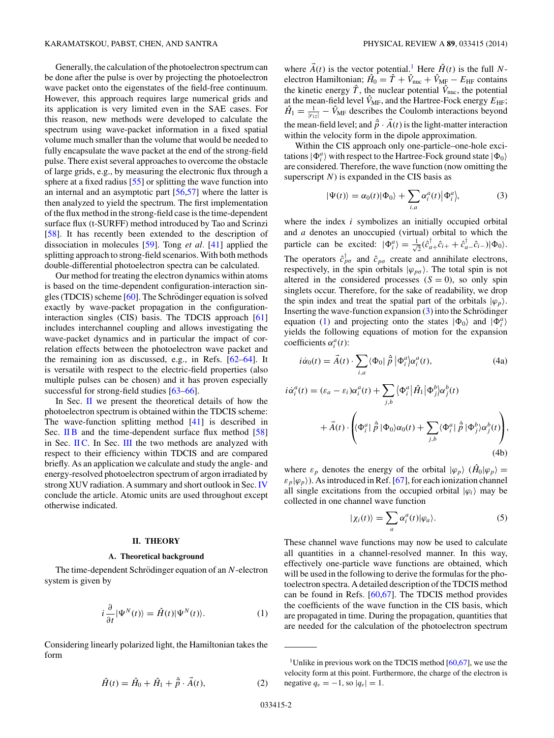<span id="page-1-0"></span>Generally, the calculation of the photoelectron spectrum can be done after the pulse is over by projecting the photoelectron wave packet onto the eigenstates of the field-free continuum. However, this approach requires large numerical grids and its application is very limited even in the SAE cases. For this reason, new methods were developed to calculate the spectrum using wave-packet information in a fixed spatial volume much smaller than the volume that would be needed to fully encapsulate the wave packet at the end of the strong-field pulse. There exist several approaches to overcome the obstacle of large grids, e.g., by measuring the electronic flux through a sphere at a fixed radius [\[55\]](#page-9-0) or splitting the wave function into an internal and an asymptotic part [\[56,57\]](#page-9-0) where the latter is then analyzed to yield the spectrum. The first implementation of the flux method in the strong-field case is the time-dependent surface flux (t-SURFF) method introduced by Tao and Scrinzi [\[58\]](#page-9-0). It has recently been extended to the description of dissociation in molecules [\[59\]](#page-9-0). Tong *et al.* [\[41\]](#page-8-0) applied the splitting approach to strong-field scenarios. With both methods double-differential photoelectron spectra can be calculated.

Our method for treating the electron dynamics within atoms is based on the time-dependent configuration-interaction singles (TDCIS) scheme  $[60]$ . The Schrödinger equation is solved exactly by wave-packet propagation in the configurationinteraction singles (CIS) basis. The TDCIS approach [\[61\]](#page-9-0) includes interchannel coupling and allows investigating the wave-packet dynamics and in particular the impact of correlation effects between the photoelectron wave packet and the remaining ion as discussed, e.g., in Refs. [\[62–64\]](#page-9-0). It is versatile with respect to the electric-field properties (also multiple pulses can be chosen) and it has proven especially successful for strong-field studies [\[63–66\]](#page-9-0).

In Sec. II we present the theoretical details of how the photoelectron spectrum is obtained within the TDCIS scheme: The wave-function splitting method [\[41\]](#page-8-0) is described in Sec. [II B](#page-2-0) and the time-dependent surface flux method [\[58\]](#page-9-0) in Sec. [II C.](#page-3-0) In Sec. [III](#page-4-0) the two methods are analyzed with respect to their efficiency within TDCIS and are compared briefly. As an application we calculate and study the angle- and energy-resolved photoelectron spectrum of argon irradiated by strong XUV radiation. A summary and short outlook in Sec. [IV](#page-7-0) conclude the article. Atomic units are used throughout except otherwise indicated.

### **II. THEORY**

#### **A. Theoretical background**

The time-dependent Schrödinger equation of an N-electron system is given by

$$
i\frac{\partial}{\partial t}|\Psi^N(t)\rangle = \hat{H}(t)|\Psi^N(t)\rangle.
$$
 (1)

Considering linearly polarized light, the Hamiltonian takes the form

$$
\hat{H}(t) = \hat{H}_0 + \hat{H}_1 + \hat{\vec{p}} \cdot \vec{A}(t),
$$
 (2)

where  $\vec{A}(t)$  is the vector potential.<sup>1</sup> Here  $\hat{H}(t)$  is the full *N*electron Hamiltonian;  $\hat{H}_0 = \hat{T} + \hat{V}_{\text{nuc}} + \hat{V}_{\text{MF}} - E_{\text{HF}}$  contains the kinetic energy  $\hat{T}$ , the nuclear potential  $\hat{V}_{\text{nuc}}$ , the potential at the mean-field level  $\hat{V}_{MF}$ , and the Hartree-Fock energy  $E_{HF}$ ;  $\hat{H}_1 = \frac{1}{|r_{12}|} - \hat{V}_{\text{MF}}$  describes the Coulomb interactions beyond the mean-field level; and  $\hat{p} \cdot \vec{A}(t)$  is the light-matter interaction within the velocity form in the dipole approximation.

Within the CIS approach only one-particle–one-hole excitations  $|\Phi_i^a\rangle$  with respect to the Hartree-Fock ground state  $|\Phi_0\rangle$ are considered. Therefore, the wave function (now omitting the superscript *N*) is expanded in the CIS basis as

$$
|\Psi(t)\rangle = \alpha_0(t)|\Phi_0\rangle + \sum_{i,a} \alpha_i^a(t)|\Phi_i^a\rangle, \tag{3}
$$

where the index *i* symbolizes an initially occupied orbital and *a* denotes an unoccupied (virtual) orbital to which the particle can be excited:  $|\Phi_i^a\rangle = \frac{1}{\sqrt{2}}$  $\frac{1}{2}(\hat{c}_{a+}^{\dagger}\hat{c}_{i+} + \hat{c}_{a-}^{\dagger}\hat{c}_{i-})|\Phi_0\rangle.$ The operators  $\hat{c}_{p\sigma}^{\dagger}$  and  $\hat{c}_{p\sigma}$  create and annihilate electrons, respectively, in the spin orbitals  $|\varphi_{p\sigma}\rangle$ . The total spin is not altered in the considered processes  $(S = 0)$ , so only spin singlets occur. Therefore, for the sake of readability, we drop the spin index and treat the spatial part of the orbitals  $|\varphi_p\rangle$ . Inserting the wave-function expansion  $(3)$  into the Schrödinger equation (1) and projecting onto the states  $|\Phi_0\rangle$  and  $|\Phi_i^a\rangle$ yields the following equations of motion for the expansion coefficients  $\alpha_i^a(t)$ :

$$
i\dot{\alpha}_0(t) = \vec{A}(t) \cdot \sum_{i,a} \langle \Phi_0 | \hat{p} | \Phi_i^a \rangle \alpha_i^a(t), \qquad (4a)
$$
  
\n
$$
i\dot{\alpha}_i^a(t) = (\varepsilon_a - \varepsilon_i) \alpha_i^a(t) + \sum_{j,b} \langle \Phi_i^a | \hat{H}_1 | \Phi_j^b \rangle \alpha_j^b(t)
$$
  
\n
$$
+ \vec{A}(t) \cdot \left( \langle \Phi_i^a | \hat{p} | \Phi_0 \rangle \alpha_0(t) + \sum_{j,b} \langle \Phi_i^a | \hat{p} | \Phi_j^b \rangle \alpha_j^b(t) \right), \qquad (4b)
$$

where  $\varepsilon_p$  denotes the energy of the orbital  $|\varphi_p\rangle$  ( $\hat{H}_0|\varphi_p\rangle =$  $\varepsilon_p |\varphi_p\rangle$ ). As introduced in Ref. [\[67\]](#page-9-0), for each ionization channel all single excitations from the occupied orbital  $|\varphi_i\rangle$  may be collected in one channel wave function

$$
|\chi_i(t)\rangle = \sum_a \alpha_i^a(t) |\varphi_a\rangle.
$$
 (5)

These channel wave functions may now be used to calculate all quantities in a channel-resolved manner. In this way, effectively one-particle wave functions are obtained, which will be used in the following to derive the formulas for the photoelectron spectra. A detailed description of the TDCIS method can be found in Refs. [\[60,67\]](#page-9-0). The TDCIS method provides the coefficients of the wave function in the CIS basis, which are propagated in time. During the propagation, quantities that are needed for the calculation of the photoelectron spectrum

<sup>&</sup>lt;sup>1</sup>Unlike in previous work on the TDCIS method  $[60, 67]$ , we use the velocity form at this point. Furthermore, the charge of the electron is negative  $q_e = -1$ , so  $|q_e| = 1$ .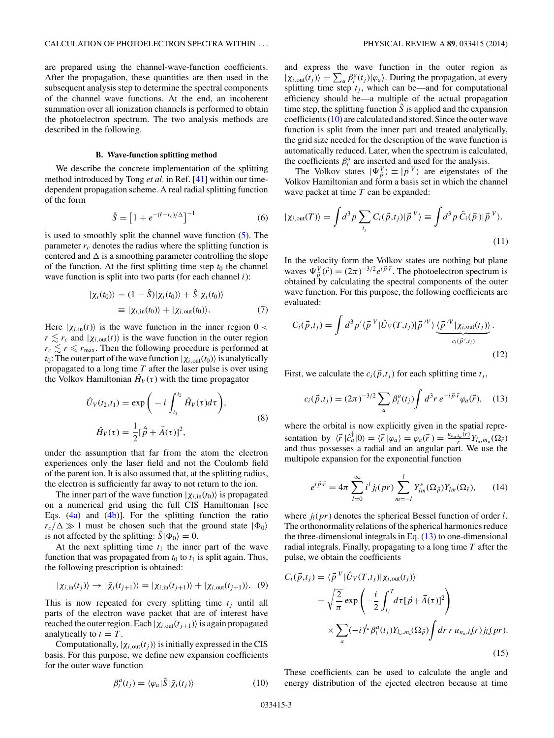<span id="page-2-0"></span>are prepared using the channel-wave-function coefficients. After the propagation, these quantities are then used in the subsequent analysis step to determine the spectral components of the channel wave functions. At the end, an incoherent summation over all ionization channels is performed to obtain the photoelectron spectrum. The two analysis methods are described in the following.

# **B. Wave-function splitting method**

We describe the concrete implementation of the splitting method introduced by Tong *et al.* in Ref. [\[41\]](#page-8-0) within our timedependent propagation scheme. A real radial splitting function of the form

$$
\hat{S} = \left[1 + e^{-(\hat{r} - r_c)/\Delta}\right]^{-1} \tag{6}
$$

is used to smoothly split the channel wave function [\(5\)](#page-1-0). The parameter  $r_c$  denotes the radius where the splitting function is centered and  $\Delta$  is a smoothing parameter controlling the slope of the function. At the first splitting time step  $t_0$  the channel wave function is split into two parts (for each channel *i*):

$$
|\chi_i(t_0)\rangle = (1 - \hat{S})|\chi_i(t_0)\rangle + \hat{S}|\chi_i(t_0)\rangle
$$
  

$$
\equiv |\chi_{i, \text{in}}(t_0)\rangle + |\chi_{i, \text{out}}(t_0)\rangle.
$$
 (7)

Here  $|\chi_{i,in}(t)\rangle$  is the wave function in the inner region  $0 <$  $r \lesssim r_c$  and  $|\chi_{i,\text{out}}(t)\rangle$  is the wave function in the outer region  $r_c \lesssim r \le r_{\text{max}}$ . Then the following procedure is performed at *t*<sub>0</sub>: The outer part of the wave function  $|\chi_{i,\text{out}}(t_0)\rangle$  is analytically propagated to a long time *T* after the laser pulse is over using the Volkov Hamiltonian  $\hat{H}_V(\tau)$  with the time propagator

$$
\hat{U}_V(t_2, t_1) = \exp\bigg(-i\int_{t_1}^{t_2} \hat{H}_V(\tau)d\tau\bigg),
$$
  

$$
\hat{H}_V(\tau) = \frac{1}{2}[\hat{p} + \vec{A}(\tau)]^2,
$$
 (8)

under the assumption that far from the atom the electron experiences only the laser field and not the Coulomb field of the parent ion. It is also assumed that, at the splitting radius, the electron is sufficiently far away to not return to the ion.

The inner part of the wave function  $|\chi_{i, \text{in}}(t_0)\rangle$  is propagated on a numerical grid using the full CIS Hamiltonian [see Eqs.  $(4a)$  and  $(4b)$ ]. For the splitting function the ratio  $r_c/\Delta \gg 1$  must be chosen such that the ground state  $|\Phi_0\rangle$ is not affected by the splitting:  $\hat{S}|\Phi_0\rangle = 0$ .

At the next splitting time  $t_1$  the inner part of the wave function that was propagated from  $t_0$  to  $t_1$  is split again. Thus, the following prescription is obtained:

$$
|\chi_{i,\text{in}}(t_j)\rangle \to |\tilde{\chi}_i(t_{j+1})\rangle = |\chi_{i,\text{in}}(t_{j+1})\rangle + |\chi_{i,\text{out}}(t_{j+1})\rangle. (9)
$$

This is now repeated for every splitting time  $t_i$  until all parts of the electron wave packet that are of interest have reached the outer region. Each  $|\chi_{i,\text{out}}(t_{j+1})\rangle$  is again propagated analytically to  $t = T$ .

Computationally,  $|\chi_{i,\text{out}}(t_j)\rangle$  is initially expressed in the CIS basis. For this purpose, we define new expansion coefficients for the outer wave function

$$
\beta_i^a(t_j) = \langle \varphi_a | \hat{S} | \tilde{\chi}_i(t_j) \rangle \tag{10}
$$

and express the wave function in the outer region as  $|\chi_{i,\text{out}}(t_j)\rangle = \sum_a \beta_i^a(t_j) |\varphi_a\rangle$ . During the propagation, at every splitting time step  $t_j$ , which can be—and for computational efficiency should be—a multiple of the actual propagation time step, the splitting function  $\hat{S}$  is applied and the expansion coefficients (10) are calculated and stored. Since the outer wave function is split from the inner part and treated analytically, the grid size needed for the description of the wave function is automatically reduced. Later, when the spectrum is calculated, the coefficients  $\beta_i^a$  are inserted and used for the analysis.

The Volkov states  $|\Psi_{\vec{p}}^V\rangle \equiv |\vec{p}^V\rangle$  are eigenstates of the Volkov Hamiltonian and form a basis set in which the channel wave packet at time *T* can be expanded:

$$
|\chi_{i,\text{out}}(T)\rangle = \int d^3p \sum_{t_j} C_i(\vec{p}, t_j) |\vec{p}^V\rangle \equiv \int d^3p \ \tilde{C}_i(\vec{p}) |\vec{p}^V\rangle. \tag{11}
$$

In the velocity form the Volkov states are nothing but plane waves  $\Psi_{\vec{p}}^V(\vec{r}) = (2\pi)^{-3/2} e^{i\vec{p}\cdot\vec{r}}$ . The photoelectron spectrum is obtained by calculating the spectral components of the outer wave function. For this purpose, the following coefficients are evaluated:

$$
C_i(\vec{p}, t_j) = \int d^3 p' \langle \vec{p}^V | \hat{U}_V(T, t_j) | \vec{p}^{\prime V} \rangle \underbrace{\langle \vec{p}^{\prime V} | \chi_{i, \text{out}}(t_j) \rangle}_{c_i(\vec{p}', t_j)}.
$$
\n(12)

First, we calculate the  $c_i(\vec{p},t_i)$  for each splitting time  $t_i$ ,

$$
c_i(\vec{p}, t_j) = (2\pi)^{-3/2} \sum_a \beta_i^a(t_j) \int d^3r \, e^{-i\vec{p}\cdot\vec{r}} \varphi_a(\vec{r}), \quad (13)
$$

where the orbital is now explicitly given in the spatial representation by  $\langle \vec{r} | \hat{c}_a^{\dagger} | 0 \rangle = \langle \vec{r} | \varphi_a \rangle = \varphi_a(\vec{r}) = \frac{u_{n_a, l_a}(r)}{r} Y_{l_a, m_a}(\Omega_{\vec{r}})$ and thus possesses a radial and an angular part. We use the multipole expansion for the exponential function

$$
e^{i\vec{p}\cdot\vec{r}} = 4\pi \sum_{l=0}^{\infty} i^l j_l(pr) \sum_{m=-l}^{l} Y_{lm}^*(\Omega_{\vec{p}}) Y_{lm}(\Omega_{\vec{r}}), \qquad (14)
$$

where  $j_l(pr)$  denotes the spherical Bessel function of order *l*. The orthonormality relations of the spherical harmonics reduce the three-dimensional integrals in Eq.  $(13)$  to one-dimensional radial integrals. Finally, propagating to a long time *T* after the pulse, we obtain the coefficients

$$
C_i(\vec{p}, t_j) = \langle \vec{p}^V | \hat{U}_V(T, t_j) | \chi_{i, \text{out}}(t_j) \rangle
$$
  
\n
$$
= \sqrt{\frac{2}{\pi}} \exp \left( -\frac{i}{2} \int_{t_j}^T d\tau [\vec{p} + \vec{A}(\tau)]^2 \right)
$$
  
\n
$$
\times \sum_a (-i)^{l_a} \beta_i^a(t_j) Y_{l_a, m_a}(\Omega_{\vec{p}}) \int dr \, r \, u_{n_a, l_a}(r) j_{l_a}(pr).
$$
\n(15)

These coefficients can be used to calculate the angle and energy distribution of the ejected electron because at time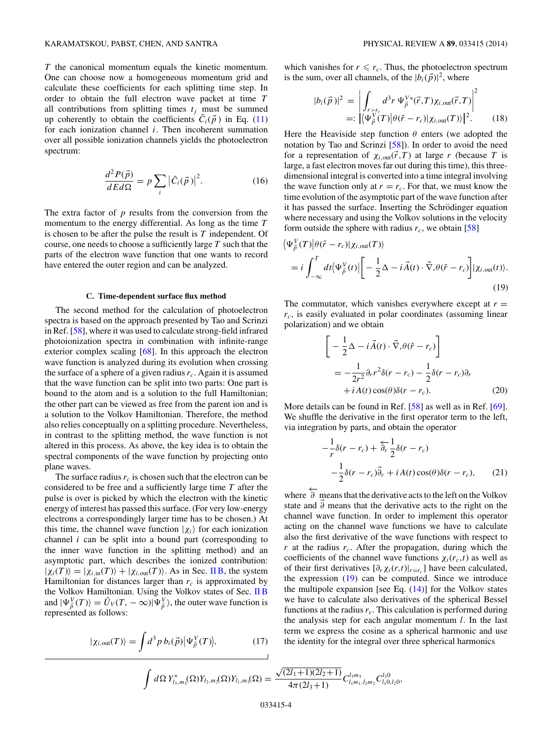<span id="page-3-0"></span>*T* the canonical momentum equals the kinetic momentum. One can choose now a homogeneous momentum grid and calculate these coefficients for each splitting time step. In order to obtain the full electron wave packet at time *T* all contributions from splitting times  $t_i$  must be summed up coherently to obtain the coefficients  $C_i(\vec{p})$  in Eq. [\(11\)](#page-2-0) for each ionization channel *i*. Then incoherent summation over all possible ionization channels yields the photoelectron spectrum:

$$
\frac{d^2P(\vec{p})}{dEd\Omega} = p \sum_{i} |\tilde{C}_i(\vec{p})|^2.
$$
 (16)

The extra factor of *p* results from the conversion from the momentum to the energy differential. As long as the time *T* is chosen to be after the pulse the result is *T* independent. Of course, one needs to choose a sufficiently large *T* such that the parts of the electron wave function that one wants to record have entered the outer region and can be analyzed.

#### **C. Time-dependent surface flux method**

The second method for the calculation of photoelectron spectra is based on the approach presented by Tao and Scrinzi in Ref. [\[58\]](#page-9-0), where it was used to calculate strong-field infrared photoionization spectra in combination with infinite-range exterior complex scaling [\[68\]](#page-9-0). In this approach the electron wave function is analyzed during its evolution when crossing the surface of a sphere of a given radius  $r_c$ . Again it is assumed that the wave function can be split into two parts: One part is bound to the atom and is a solution to the full Hamiltonian; the other part can be viewed as free from the parent ion and is a solution to the Volkov Hamiltonian. Therefore, the method also relies conceptually on a splitting procedure. Nevertheless, in contrast to the splitting method, the wave function is not altered in this process. As above, the key idea is to obtain the spectral components of the wave function by projecting onto plane waves.

The surface radius  $r_c$  is chosen such that the electron can be considered to be free and a sufficiently large time *T* after the pulse is over is picked by which the electron with the kinetic energy of interest has passed this surface. (For very low-energy electrons a correspondingly larger time has to be chosen.) At this time, the channel wave function  $|\chi_i\rangle$  for each ionization channel *i* can be split into a bound part (corresponding to the inner wave function in the splitting method) and an asymptotic part, which describes the ionized contribution:  $|\chi_i(T)\rangle = |\chi_{i,\text{in}}(T)\rangle + |\chi_{i,\text{out}}(T)\rangle$ . As in Sec. [II B,](#page-2-0) the system Hamiltonian for distances larger than  $r_c$  is approximated by the Volkov Hamiltonian. Using the Volkov states of Sec. [II B](#page-2-0) and  $|\Psi_{\vec{p}}^{V}(T)\rangle = \hat{U}_{V}(T, -\infty)|\Psi_{\vec{p}}^{V}\rangle$ , the outer wave function is represented as follows:

$$
|\chi_{i,\text{out}}(T)\rangle = \int d^3p \, b_i(\vec{p}) |\Psi_{\vec{p}}^V(T)\rangle, \tag{17}
$$

which vanishes for  $r \le r_c$ . Thus, the photoelectron spectrum is the sum, over all channels, of the  $|b_i(\vec{p})|^2$ , where

$$
|b_i(\vec{p})|^2 = \left| \int_{r>r_c} d^3r \, \Psi_{\vec{p}}^{V*}(\vec{r},T) \chi_{i,\text{out}}(\vec{r},T) \right|^2
$$
  
=: 
$$
\left| \langle \Psi_{\vec{p}}^{V}(T) | \theta(\hat{r} - r_c) | \chi_{i,\text{out}}(T) \rangle \right|^2.
$$
 (18)

Here the Heaviside step function  $\theta$  enters (we adopted the notation by Tao and Scrinzi [\[58\]](#page-9-0)). In order to avoid the need for a representation of  $\chi_{i,\text{out}}(\vec{r},T)$  at large *r* (because *T* is large, a fast electron moves far out during this time), this threedimensional integral is converted into a time integral involving the wave function only at  $r = r_c$ . For that, we must know the time evolution of the asymptotic part of the wave function after it has passed the surface. Inserting the Schrödinger equation where necessary and using the Volkov solutions in the velocity form outside the sphere with radius  $r_c$ , we obtain [\[58\]](#page-9-0)

$$
\langle \Psi_{\vec{p}}^V(T) | \theta(\hat{r} - r_c) | \chi_{i, \text{out}}(T) \rangle
$$
  
=  $i \int_{-\infty}^T dt \langle \Psi_{\vec{p}}^V(t) | \left[ -\frac{1}{2} \Delta - i \vec{A}(t) \cdot \vec{\nabla}, \theta(\hat{r} - r_c) \right] | \chi_{i, \text{out}}(t) \rangle.$  (19)

The commutator, which vanishes everywhere except at  $r =$ *rc*, is easily evaluated in polar coordinates (assuming linear polarization) and we obtain

$$
\begin{bmatrix}\n-\frac{1}{2}\Delta - i\vec{A}(t)\cdot\vec{\nabla},\theta(\hat{r}-r_c)\n\end{bmatrix}\n= -\frac{1}{2r^2}\partial_r r^2 \delta(r-r_c) - \frac{1}{2}\delta(r-r_c)\partial_r\n+ iA(t)\cos(\theta)\delta(r-r_c).
$$
\n(20)

More details can be found in Ref. [\[58\]](#page-9-0) as well as in Ref. [\[69\]](#page-9-0). We shuffle the derivative in the first operator term to the left, via integration by parts, and obtain the operator

$$
-\frac{1}{r}\delta(r - r_c) + \frac{1}{\partial r}\frac{1}{2}\delta(r - r_c)
$$
  

$$
-\frac{1}{2}\delta(r - r_c)\vec{\partial}_r + iA(t)\cos(\theta)\delta(r - r_c), \qquad (21)
$$

where  $\overleftarrow{\partial}$  means that the derivative acts to the left on the Volkov state and *∂* means that the derivative acts to the right on the channel wave function. In order to implement this operator acting on the channel wave functions we have to calculate also the first derivative of the wave functions with respect to  $r$  at the radius  $r_c$ . After the propagation, during which the coefficients of the channel wave functions  $\chi_i(r_c,t)$  as well as of their first derivatives  $[\partial_r \chi_i(r,t)|_{r=r_c}]$  have been calculated, the expression (19) can be computed. Since we introduce the multipole expansion [see Eq.  $(14)$ ] for the Volkov states we have to calculate also derivatives of the spherical Bessel functions at the radius  $r_c$ . This calculation is performed during the analysis step for each angular momentum *l*. In the last term we express the cosine as a spherical harmonic and use the identity for the integral over three spherical harmonics

$$
\int d\Omega Y_{l_3,m_3}^*(\Omega)Y_{l_2,m_2}(\Omega)Y_{l_1,m_1}(\Omega) = \frac{\sqrt{(2l_1+1)(2l_2+1)}}{4\pi(2l_3+1)} C_{l_1m_1,l_2m_2}^{l_3m_3} C_{l_10,l_20}^{l_30},
$$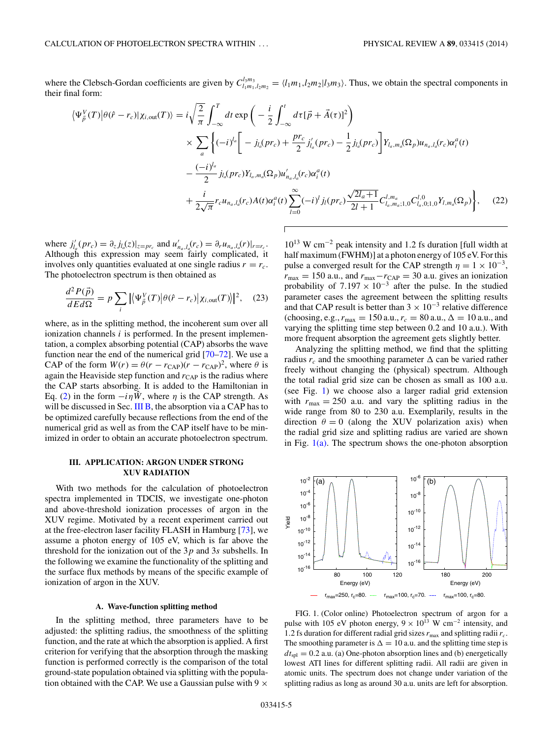<span id="page-4-0"></span>where the Clebsch-Gordan coefficients are given by  $C^{l_3m_3}_{l_1m_1,l_2m_2} = \langle l_1m_1,l_2m_2|l_3m_3\rangle$ . Thus, we obtain the spectral components in their final form:

$$
\langle \Psi_{\vec{p}}^{V}(T) | \theta(\hat{r} - r_c) | \chi_{i, \text{out}}(T) \rangle = i \sqrt{\frac{2}{\pi}} \int_{-\infty}^{T} dt \exp \left( -\frac{i}{2} \int_{-\infty}^{t} d\tau [\vec{p} + \vec{A}(\tau)]^{2} \right)
$$
  

$$
\times \sum_{a} \left\{ (-i)^{l_{a}} \left[ -j_{l_{a}}(pr_{c}) + \frac{pr_{c}}{2} j'_{l_{a}}(pr_{c}) - \frac{1}{2} j_{l_{a}}(pr_{c}) \right] Y_{l_{a},m_{a}}(\Omega_{p}) u_{n_{a},l_{a}}(r_{c}) \alpha_{i}^{a}(t) \right.
$$

$$
- \frac{(-i)^{l_{a}}}{2} j_{l_{a}}(pr_{c}) Y_{l_{a},m_{a}}(\Omega_{p}) u'_{n_{a},l_{a}}(r_{c}) \alpha_{i}^{a}(t)
$$

$$
+ \frac{i}{2\sqrt{\pi}} r_{c} u_{n_{a},l_{a}}(r_{c}) A(t) \alpha_{i}^{a}(t) \sum_{l=0}^{\infty} (-i)^{l} j_{l}(pr_{c}) \frac{\sqrt{2l_{a}+1}}{2l+1} C_{l_{a},m_{a};1,0}^{l,m_{a}} C_{l_{a},0;1,0}^{l,0} Y_{l,m_{a}}(\Omega_{p}) \right\}, \quad (22)
$$

where  $j'_{l_q}(pr_c) = \partial_z j_{l_q}(z)|_{z=pr_c}$  and  $u'_{n_q, l_q}(r_c) = \partial_r u_{n_q, l_q}(r)|_{r=r_c}$ . Although this expression may seem fairly complicated, it involves only quantities evaluated at one single radius  $r = r_c$ . The photoelectron spectrum is then obtained as

$$
\frac{d^2 P(\vec{p})}{dEd\Omega} = p \sum_{i} |\langle \Psi_{\vec{p}}^{V}(T) | \theta(\hat{r} - r_c) | \chi_{i, \text{out}}(T) \rangle|^{2}, \quad (23)
$$

where, as in the splitting method, the incoherent sum over all ionization channels *i* is performed. In the present implementation, a complex absorbing potential (CAP) absorbs the wave function near the end of the numerical grid [\[70–72\]](#page-9-0). We use a CAP of the form  $W(r) = \theta(r - r_{\text{CAP}})(r - r_{\text{CAP}})^2$ , where  $\theta$  is again the Heaviside step function and  $r_{\text{CAP}}$  is the radius where the CAP starts absorbing. It is added to the Hamiltonian in Eq. [\(2\)](#page-1-0) in the form  $-i\eta \hat{W}$ , where  $\eta$  is the CAP strength. As will be discussed in Sec. [III B,](#page-6-0) the absorption via a CAP has to be optimized carefully because reflections from the end of the numerical grid as well as from the CAP itself have to be minimized in order to obtain an accurate photoelectron spectrum.

#### **III. APPLICATION: ARGON UNDER STRONG XUV RADIATION**

With two methods for the calculation of photoelectron spectra implemented in TDCIS, we investigate one-photon and above-threshold ionization processes of argon in the XUV regime. Motivated by a recent experiment carried out at the free-electron laser facility FLASH in Hamburg [\[73\]](#page-9-0), we assume a photon energy of 105 eV, which is far above the threshold for the ionization out of the 3*p* and 3*s* subshells. In the following we examine the functionality of the splitting and the surface flux methods by means of the specific example of ionization of argon in the XUV.

#### **A. Wave-function splitting method**

In the splitting method, three parameters have to be adjusted: the splitting radius, the smoothness of the splitting function, and the rate at which the absorption is applied. A first criterion for verifying that the absorption through the masking function is performed correctly is the comparison of the total ground-state population obtained via splitting with the population obtained with the CAP. We use a Gaussian pulse with  $9 \times$ 

1013 W cm−<sup>2</sup> peak intensity and 1*.*2 fs duration [full width at half maximum (FWHM)] at a photon energy of 105 eV. For this pulse a converged result for the CAP strength  $\eta = 1 \times 10^{-3}$ ,  $r_{\text{max}} = 150$  a.u., and  $r_{\text{max}} - r_{\text{CAP}} = 30$  a.u. gives an ionization probability of  $7.197 \times 10^{-3}$  after the pulse. In the studied parameter cases the agreement between the splitting results and that CAP result is better than  $3 \times 10^{-3}$  relative difference (choosing, e.g.,  $r_{\text{max}} = 150 \text{ a.u.}, r_c = 80 \text{ a.u.}, \Delta = 10 \text{ a.u.}, \text{and}$ varying the splitting time step between 0*.*2 and 10 a.u.). With more frequent absorption the agreement gets slightly better.

Analyzing the splitting method, we find that the splitting radius  $r_c$  and the smoothing parameter  $\Delta$  can be varied rather freely without changing the (physical) spectrum. Although the total radial grid size can be chosen as small as 100 a.u. (see Fig. 1) we choose also a larger radial grid extension with  $r_{\text{max}} = 250$  a.u. and vary the splitting radius in the wide range from 80 to 230 a.u. Exemplarily, results in the direction  $\theta = 0$  (along the XUV polarization axis) when the radial grid size and splitting radius are varied are shown in Fig.  $1(a)$ . The spectrum shows the one-photon absorption



FIG. 1. (Color online) Photoelectron spectrum of argon for a pulse with 105 eV photon energy,  $9 \times 10^{13}$  W cm<sup>-2</sup> intensity, and 1.2 fs duration for different radial grid sizes  $r_{\text{max}}$  and splitting radii  $r_c$ . The smoothing parameter is  $\Delta = 10$  a.u. and the splitting time step is  $dt_{\text{spl}} = 0.2$  a.u. (a) One-photon absorption lines and (b) energetically lowest ATI lines for different splitting radii. All radii are given in atomic units. The spectrum does not change under variation of the splitting radius as long as around 30 a.u. units are left for absorption.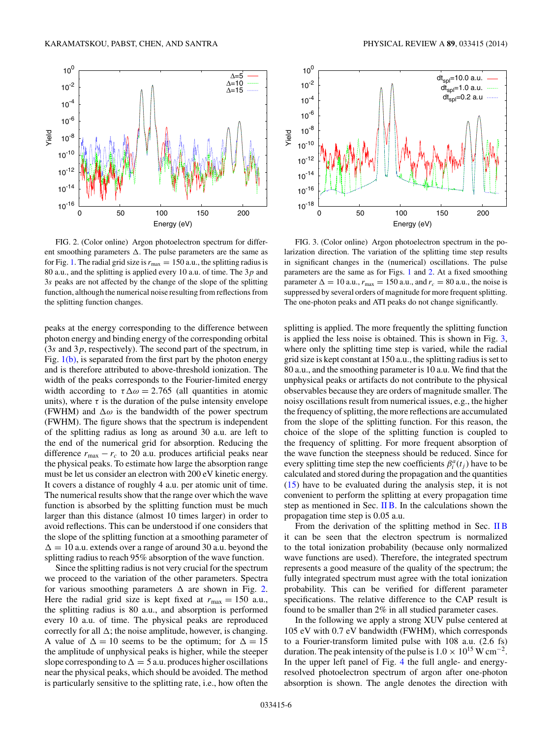<span id="page-5-0"></span>

FIG. 2. (Color online) Argon photoelectron spectrum for different smoothing parameters . The pulse parameters are the same as for Fig. [1.](#page-4-0) The radial grid size is  $r_{\text{max}} = 150$  a.u., the splitting radius is 80 a.u., and the splitting is applied every 10 a.u. of time. The 3*p* and 3*s* peaks are not affected by the change of the slope of the splitting function, although the numerical noise resulting from reflections from the splitting function changes.

peaks at the energy corresponding to the difference between photon energy and binding energy of the corresponding orbital (3*s* and 3*p*, respectively). The second part of the spectrum, in Fig.  $1(b)$ , is separated from the first part by the photon energy and is therefore attributed to above-threshold ionization. The width of the peaks corresponds to the Fourier-limited energy width according to  $\tau \Delta \omega = 2.765$  (all quantities in atomic units), where  $\tau$  is the duration of the pulse intensity envelope (FWHM) and  $\Delta\omega$  is the bandwidth of the power spectrum (FWHM). The figure shows that the spectrum is independent of the splitting radius as long as around 30 a.u. are left to the end of the numerical grid for absorption. Reducing the difference  $r_{\text{max}} - r_c$  to 20 a.u. produces artificial peaks near the physical peaks. To estimate how large the absorption range must be let us consider an electron with 200 eV kinetic energy. It covers a distance of roughly 4 a.u. per atomic unit of time. The numerical results show that the range over which the wave function is absorbed by the splitting function must be much larger than this distance (almost 10 times larger) in order to avoid reflections. This can be understood if one considers that the slope of the splitting function at a smoothing parameter of  $\Delta = 10$  a.u. extends over a range of around 30 a.u. beyond the splitting radius to reach 95% absorption of the wave function.

Since the splitting radius is not very crucial for the spectrum we proceed to the variation of the other parameters. Spectra for various smoothing parameters  $\Delta$  are shown in Fig. 2. Here the radial grid size is kept fixed at  $r_{\text{max}} = 150$  a.u., the splitting radius is 80 a.u., and absorption is performed every 10 a.u. of time. The physical peaks are reproduced correctly for all  $\Delta$ ; the noise amplitude, however, is changing. A value of  $\Delta = 10$  seems to be the optimum; for  $\Delta = 15$ the amplitude of unphysical peaks is higher, while the steeper slope corresponding to  $\Delta = 5$  a.u. produces higher oscillations near the physical peaks, which should be avoided. The method is particularly sensitive to the splitting rate, i.e., how often the



FIG. 3. (Color online) Argon photoelectron spectrum in the polarization direction. The variation of the splitting time step results in significant changes in the (numerical) oscillations. The pulse parameters are the same as for Figs. [1](#page-4-0) and 2. At a fixed smoothing parameter  $\Delta = 10$  a.u.,  $r_{\text{max}} = 150$  a.u., and  $r_c = 80$  a.u., the noise is suppressed by several orders of magnitude for more frequent splitting. The one-photon peaks and ATI peaks do not change significantly.

splitting is applied. The more frequently the splitting function is applied the less noise is obtained. This is shown in Fig. 3, where only the splitting time step is varied, while the radial grid size is kept constant at 150 a.u., the splitting radius is set to 80 a.u., and the smoothing parameter is 10 a.u. We find that the unphysical peaks or artifacts do not contribute to the physical observables because they are orders of magnitude smaller. The noisy oscillations result from numerical issues, e.g., the higher the frequency of splitting, the more reflections are accumulated from the slope of the splitting function. For this reason, the choice of the slope of the splitting function is coupled to the frequency of splitting. For more frequent absorption of the wave function the steepness should be reduced. Since for every splitting time step the new coefficients  $\beta_i^a(t_j)$  have to be calculated and stored during the propagation and the quantities [\(15\)](#page-2-0) have to be evaluated during the analysis step, it is not convenient to perform the splitting at every propagation time step as mentioned in Sec.  $\overline{I}$  IB. In the calculations shown the propagation time step is 0*.*05 a.u.

From the derivation of the splitting method in Sec. [II B](#page-2-0) it can be seen that the electron spectrum is normalized to the total ionization probability (because only normalized wave functions are used). Therefore, the integrated spectrum represents a good measure of the quality of the spectrum; the fully integrated spectrum must agree with the total ionization probability. This can be verified for different parameter specifications. The relative difference to the CAP result is found to be smaller than 2% in all studied parameter cases.

In the following we apply a strong XUV pulse centered at 105 eV with 0*.*7 eV bandwidth (FWHM), which corresponds to a Fourier-transform limited pulse with 108 a.u. (2*.*6 fs) duration. The peak intensity of the pulse is  $1.0 \times 10^{15}$  W cm<sup>-2</sup>. In the upper left panel of Fig. [4](#page-6-0) the full angle- and energyresolved photoelectron spectrum of argon after one-photon absorption is shown. The angle denotes the direction with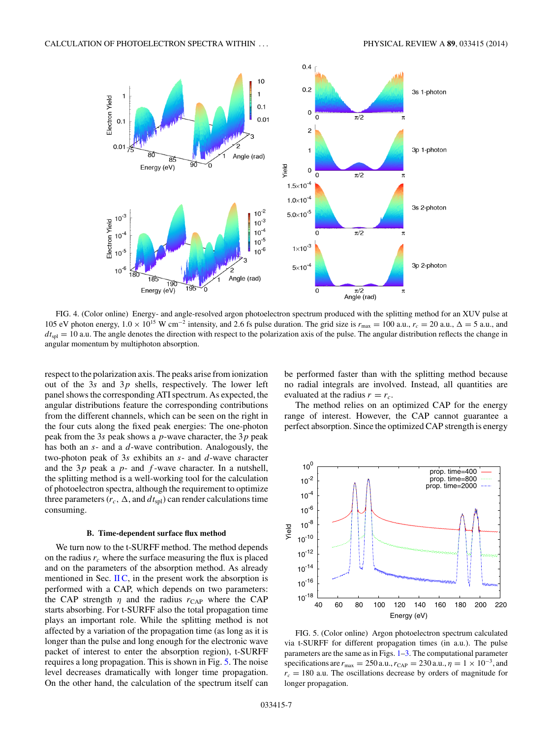<span id="page-6-0"></span>

FIG. 4. (Color online) Energy- and angle-resolved argon photoelectron spectrum produced with the splitting method for an XUV pulse at 105 eV photon energy,  $1.0 \times 10^{15}$  W cm<sup>-2</sup> intensity, and 2.6 fs pulse duration. The grid size is  $r_{\text{max}} = 100$  a.u.,  $r_c = 20$  a.u.,  $\Delta = 5$  a.u., and  $dt_{\text{spl}} = 10$  a.u. The angle denotes the direction with respect to the polarization axis of the pulse. The angular distribution reflects the change in angular momentum by multiphoton absorption.

respect to the polarization axis. The peaks arise from ionization out of the 3*s* and 3*p* shells, respectively. The lower left panel shows the corresponding ATI spectrum. As expected, the angular distributions feature the corresponding contributions from the different channels, which can be seen on the right in the four cuts along the fixed peak energies: The one-photon peak from the 3*s* peak shows a *p*-wave character, the 3*p* peak has both an *s*- and a *d*-wave contribution. Analogously, the two-photon peak of 3*s* exhibits an *s*- and *d*-wave character and the 3*p* peak a *p*- and *f* -wave character. In a nutshell, the splitting method is a well-working tool for the calculation of photoelectron spectra, although the requirement to optimize three parameters ( $r_c$ ,  $\Delta$ , and  $dt_{\rm spl}$ ) can render calculations time consuming.

#### **B. Time-dependent surface flux method**

We turn now to the t-SURFF method. The method depends on the radius  $r_c$  where the surface measuring the flux is placed and on the parameters of the absorption method. As already mentioned in Sec.  $\text{IIC}$ , in the present work the absorption is performed with a CAP, which depends on two parameters: the CAP strength *η* and the radius  $r_{\text{CAP}}$  where the CAP starts absorbing. For t-SURFF also the total propagation time plays an important role. While the splitting method is not affected by a variation of the propagation time (as long as it is longer than the pulse and long enough for the electronic wave packet of interest to enter the absorption region), t-SURFF requires a long propagation. This is shown in Fig. 5. The noise level decreases dramatically with longer time propagation. On the other hand, the calculation of the spectrum itself can

be performed faster than with the splitting method because no radial integrals are involved. Instead, all quantities are evaluated at the radius  $r = r_c$ .

The method relies on an optimized CAP for the energy range of interest. However, the CAP cannot guarantee a perfect absorption. Since the optimized CAP strength is energy



FIG. 5. (Color online) Argon photoelectron spectrum calculated via t-SURFF for different propagation times (in a.u.). The pulse parameters are the same as in Figs. [1–](#page-4-0)[3.](#page-5-0) The computational parameter specifications are  $r_{\text{max}} = 250$  a.u.,  $r_{\text{CAP}} = 230$  a.u.,  $\eta = 1 \times 10^{-3}$ , and  $r_c = 180$  a.u. The oscillations decrease by orders of magnitude for longer propagation.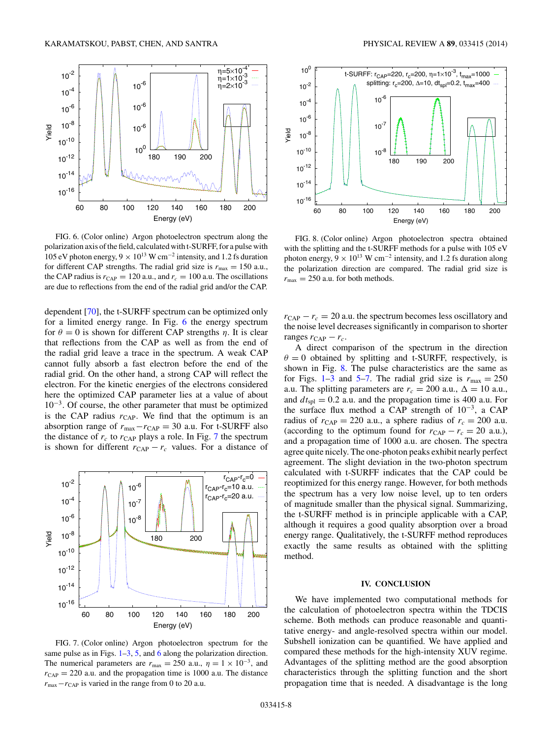<span id="page-7-0"></span>

FIG. 6. (Color online) Argon photoelectron spectrum along the polarization axis of the field, calculated with t-SURFF, for a pulse with 105 eV photon energy, 9 × 1013 W cm−<sup>2</sup> intensity, and 1*.*2 fs duration for different CAP strengths. The radial grid size is  $r_{\text{max}} = 150$  a.u., the CAP radius is  $r_{\text{CAP}} = 120$  a.u., and  $r_c = 100$  a.u. The oscillations are due to reflections from the end of the radial grid and/or the CAP.

dependent [\[70\]](#page-9-0), the t-SURFF spectrum can be optimized only for a limited energy range. In Fig. 6 the energy spectrum for  $\theta = 0$  is shown for different CAP strengths *η*. It is clear that reflections from the CAP as well as from the end of the radial grid leave a trace in the spectrum. A weak CAP cannot fully absorb a fast electron before the end of the radial grid. On the other hand, a strong CAP will reflect the electron. For the kinetic energies of the electrons considered here the optimized CAP parameter lies at a value of about  $10^{-3}$ . Of course, the other parameter that must be optimized is the CAP radius  $r_{\text{CAP}}$ . We find that the optimum is an absorption range of  $r_{\text{max}} - r_{\text{CAP}} = 30$  a.u. For t-SURFF also the distance of  $r_c$  to  $r_{\text{CAP}}$  plays a role. In Fig. 7 the spectrum is shown for different  $r_{\text{CAP}} - r_c$  values. For a distance of



FIG. 7. (Color online) Argon photoelectron spectrum for the same pulse as in Figs.  $1-3$ , [5,](#page-6-0) and 6 along the polarization direction. The numerical parameters are  $r_{\text{max}} = 250$  a.u.,  $\eta = 1 \times 10^{-3}$ , and  $r_{\text{CAP}} = 220$  a.u. and the propagation time is 1000 a.u. The distance  $r_{\text{max}} - r_{\text{CAP}}$  is varied in the range from 0 to 20 a.u.



FIG. 8. (Color online) Argon photoelectron spectra obtained with the splitting and the t-SURFF methods for a pulse with 105 eV photon energy,  $9 \times 10^{13}$  W cm<sup>-2</sup> intensity, and 1.2 fs duration along the polarization direction are compared. The radial grid size is  $r_{\text{max}} = 250$  a.u. for both methods.

 $r_{\text{CAP}} - r_c = 20$  a.u. the spectrum becomes less oscillatory and the noise level decreases significantly in comparison to shorter ranges  $r_{\text{CAP}} - r_c$ .

A direct comparison of the spectrum in the direction  $\theta = 0$  obtained by splitting and t-SURFF, respectively, is shown in Fig. 8. The pulse characteristics are the same as for Figs. [1](#page-4-0)[–3](#page-5-0) and [5–](#page-6-0)7. The radial grid size is  $r_{\text{max}} = 250$ a.u. The splitting parameters are  $r_c = 200$  a.u.,  $\Delta = 10$  a.u., and  $dt_{\text{spl}} = 0.2$  a.u. and the propagation time is 400 a.u. For the surface flux method a CAP strength of  $10^{-3}$ , a CAP radius of  $r_{\text{CAP}} = 220$  a.u., a sphere radius of  $r_c = 200$  a.u. (according to the optimum found for  $r_{\text{CAP}} - r_c = 20$  a.u.), and a propagation time of 1000 a.u. are chosen. The spectra agree quite nicely. The one-photon peaks exhibit nearly perfect agreement. The slight deviation in the two-photon spectrum calculated with t-SURFF indicates that the CAP could be reoptimized for this energy range. However, for both methods the spectrum has a very low noise level, up to ten orders of magnitude smaller than the physical signal. Summarizing, the t-SURFF method is in principle applicable with a CAP, although it requires a good quality absorption over a broad energy range. Qualitatively, the t-SURFF method reproduces exactly the same results as obtained with the splitting method.

## **IV. CONCLUSION**

We have implemented two computational methods for the calculation of photoelectron spectra within the TDCIS scheme. Both methods can produce reasonable and quantitative energy- and angle-resolved spectra within our model. Subshell ionization can be quantified. We have applied and compared these methods for the high-intensity XUV regime. Advantages of the splitting method are the good absorption characteristics through the splitting function and the short propagation time that is needed. A disadvantage is the long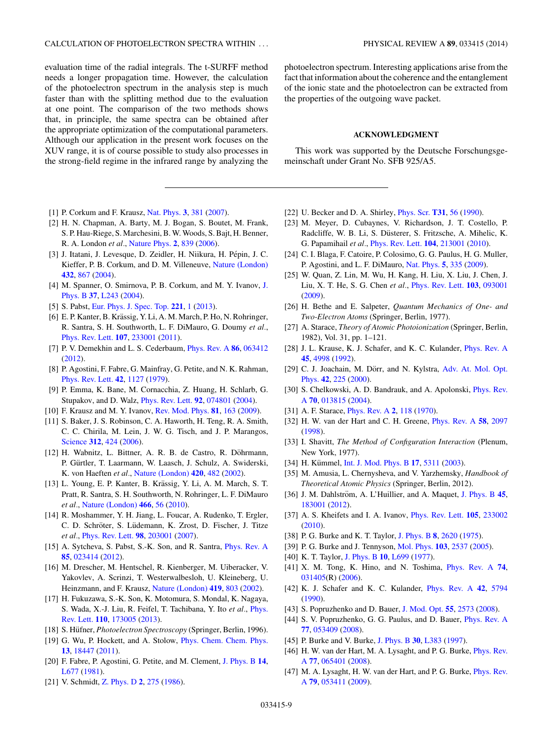<span id="page-8-0"></span>evaluation time of the radial integrals. The t-SURFF method needs a longer propagation time. However, the calculation of the photoelectron spectrum in the analysis step is much faster than with the splitting method due to the evaluation at one point. The comparison of the two methods shows that, in principle, the same spectra can be obtained after the appropriate optimization of the computational parameters. Although our application in the present work focuses on the XUV range, it is of course possible to study also processes in the strong-field regime in the infrared range by analyzing the

- [1] P. Corkum and F. Krausz, [Nat. Phys.](http://dx.doi.org/10.1038/nphys620) **[3](http://dx.doi.org/10.1038/nphys620)**, [381](http://dx.doi.org/10.1038/nphys620) [\(2007\)](http://dx.doi.org/10.1038/nphys620).
- [2] H. N. Chapman, A. Barty, M. J. Bogan, S. Boutet, M. Frank, S. P. Hau-Riege, S. Marchesini, B. W. Woods, S. Bajt, H. Benner, R. A. London *et al.*, [Nature Phys.](http://dx.doi.org/10.1038/nphys461) **[2](http://dx.doi.org/10.1038/nphys461)**, [839](http://dx.doi.org/10.1038/nphys461) [\(2006\)](http://dx.doi.org/10.1038/nphys461).
- [3] J. Itatani, J. Levesque, D. Zeidler, H. Niikura, H. Pépin, J. C. Kieffer, P. B. Corkum, and D. M. Villeneuve, [Nature \(London\)](http://dx.doi.org/10.1038/nature03183) **[432](http://dx.doi.org/10.1038/nature03183)**, [867](http://dx.doi.org/10.1038/nature03183) [\(2004\)](http://dx.doi.org/10.1038/nature03183).
- [4] [M. Spanner, O. Smirnova, P. B. Corkum, and M. Y. Ivanov,](http://dx.doi.org/10.1088/0953-4075/37/12/L02) J. Phys. B **[37](http://dx.doi.org/10.1088/0953-4075/37/12/L02)**, [L243](http://dx.doi.org/10.1088/0953-4075/37/12/L02) [\(2004\)](http://dx.doi.org/10.1088/0953-4075/37/12/L02).
- [5] S. Pabst, [Eur. Phys. J. Spec. Top.](http://dx.doi.org/10.1140/epjst/e2013-01819-x) **[221](http://dx.doi.org/10.1140/epjst/e2013-01819-x)**, [1](http://dx.doi.org/10.1140/epjst/e2013-01819-x) [\(2013\)](http://dx.doi.org/10.1140/epjst/e2013-01819-x).
- [6] E. P. Kanter, B. Krässig, Y. Li, A. M. March, P. Ho, N. Rohringer, R. Santra, S. H. Southworth, L. F. DiMauro, G. Doumy *et al.*, [Phys. Rev. Lett.](http://dx.doi.org/10.1103/PhysRevLett.107.233001) **[107](http://dx.doi.org/10.1103/PhysRevLett.107.233001)**, [233001](http://dx.doi.org/10.1103/PhysRevLett.107.233001) [\(2011\)](http://dx.doi.org/10.1103/PhysRevLett.107.233001).
- [7] P. V. Demekhin and L. S. Cederbaum, [Phys. Rev. A](http://dx.doi.org/10.1103/PhysRevA.86.063412) **[86](http://dx.doi.org/10.1103/PhysRevA.86.063412)**, [063412](http://dx.doi.org/10.1103/PhysRevA.86.063412) [\(2012\)](http://dx.doi.org/10.1103/PhysRevA.86.063412).
- [8] P. Agostini, F. Fabre, G. Mainfray, G. Petite, and N. K. Rahman, [Phys. Rev. Lett.](http://dx.doi.org/10.1103/PhysRevLett.42.1127) **[42](http://dx.doi.org/10.1103/PhysRevLett.42.1127)**, [1127](http://dx.doi.org/10.1103/PhysRevLett.42.1127) [\(1979\)](http://dx.doi.org/10.1103/PhysRevLett.42.1127).
- [9] P. Emma, K. Bane, M. Cornacchia, Z. Huang, H. Schlarb, G. Stupakov, and D. Walz, [Phys. Rev. Lett.](http://dx.doi.org/10.1103/PhysRevLett.92.074801) **[92](http://dx.doi.org/10.1103/PhysRevLett.92.074801)**, [074801](http://dx.doi.org/10.1103/PhysRevLett.92.074801) [\(2004\)](http://dx.doi.org/10.1103/PhysRevLett.92.074801).
- [10] F. Krausz and M. Y. Ivanov, [Rev. Mod. Phys.](http://dx.doi.org/10.1103/RevModPhys.81.163) **[81](http://dx.doi.org/10.1103/RevModPhys.81.163)**, [163](http://dx.doi.org/10.1103/RevModPhys.81.163) [\(2009\)](http://dx.doi.org/10.1103/RevModPhys.81.163).
- [11] S. Baker, J. S. Robinson, C. A. Haworth, H. Teng, R. A. Smith, C. C. Chirila, M. Lein, J. W. G. Tisch, and J. P. Marangos, [Science](http://dx.doi.org/10.1126/science.1123904) **[312](http://dx.doi.org/10.1126/science.1123904)**, [424](http://dx.doi.org/10.1126/science.1123904) [\(2006\)](http://dx.doi.org/10.1126/science.1123904).
- [12] H. Wabnitz, L. Bittner, A. R. B. de Castro, R. Döhrmann, P. Gürtler, T. Laarmann, W. Laasch, J. Schulz, A. Swiderski, K. von Haeften *et al.*, [Nature \(London\)](http://dx.doi.org/10.1038/nature01197) **[420](http://dx.doi.org/10.1038/nature01197)**, [482](http://dx.doi.org/10.1038/nature01197) [\(2002\)](http://dx.doi.org/10.1038/nature01197).
- [13] L. Young, E. P. Kanter, B. Krässig, Y. Li, A. M. March, S. T. Pratt, R. Santra, S. H. Southworth, N. Rohringer, L. F. DiMauro *et al.*, [Nature \(London\)](http://dx.doi.org/10.1038/nature09177) **[466](http://dx.doi.org/10.1038/nature09177)**, [56](http://dx.doi.org/10.1038/nature09177) [\(2010\)](http://dx.doi.org/10.1038/nature09177).
- [14] R. Moshammer, Y. H. Jiang, L. Foucar, A. Rudenko, T. Ergler, C. D. Schröter, S. Lüdemann, K. Zrost, D. Fischer, J. Titze *et al.*, [Phys. Rev. Lett.](http://dx.doi.org/10.1103/PhysRevLett.98.203001) **[98](http://dx.doi.org/10.1103/PhysRevLett.98.203001)**, [203001](http://dx.doi.org/10.1103/PhysRevLett.98.203001) [\(2007\)](http://dx.doi.org/10.1103/PhysRevLett.98.203001).
- [15] A. Sytcheva, S. Pabst, S.-K. Son, and R. Santra, *[Phys. Rev. A](http://dx.doi.org/10.1103/PhysRevA.85.023414)* **[85](http://dx.doi.org/10.1103/PhysRevA.85.023414)**, [023414](http://dx.doi.org/10.1103/PhysRevA.85.023414) [\(2012\)](http://dx.doi.org/10.1103/PhysRevA.85.023414).
- [16] M. Drescher, M. Hentschel, R. Kienberger, M. Uiberacker, V. Yakovlev, A. Scrinzi, T. Westerwalbesloh, U. Kleineberg, U. Heinzmann, and F. Krausz, [Nature \(London\)](http://dx.doi.org/10.1038/nature01143) **[419](http://dx.doi.org/10.1038/nature01143)**, [803](http://dx.doi.org/10.1038/nature01143) [\(2002\)](http://dx.doi.org/10.1038/nature01143).
- [17] H. Fukuzawa, S.-K. Son, K. Motomura, S. Mondal, K. Nagaya, [S. Wada, X.-J. Liu, R. Feifel, T. Tachibana, Y. Ito](http://dx.doi.org/10.1103/PhysRevLett.110.173005) *et al.*, Phys. Rev. Lett. **[110](http://dx.doi.org/10.1103/PhysRevLett.110.173005)**, [173005](http://dx.doi.org/10.1103/PhysRevLett.110.173005) [\(2013\)](http://dx.doi.org/10.1103/PhysRevLett.110.173005).
- [18] S. Hüfner, *Photoelectron Spectroscopy* (Springer, Berlin, 1996).
- [19] G. Wu, P. Hockett, and A. Stolow, [Phys. Chem. Chem. Phys.](http://dx.doi.org/10.1039/c1cp22031d) **[13](http://dx.doi.org/10.1039/c1cp22031d)**, [18447](http://dx.doi.org/10.1039/c1cp22031d) [\(2011\)](http://dx.doi.org/10.1039/c1cp22031d).
- [20] F. Fabre, P. Agostini, G. Petite, and M. Clement, [J. Phys. B](http://dx.doi.org/10.1088/0022-3700/14/21/007) **[14](http://dx.doi.org/10.1088/0022-3700/14/21/007)**, [L677](http://dx.doi.org/10.1088/0022-3700/14/21/007) [\(1981\)](http://dx.doi.org/10.1088/0022-3700/14/21/007).
- [21] V. Schmidt, [Z. Phys. D](http://dx.doi.org/10.1007/BF01426232) **[2](http://dx.doi.org/10.1007/BF01426232)**, [275](http://dx.doi.org/10.1007/BF01426232) [\(1986\)](http://dx.doi.org/10.1007/BF01426232).

photoelectron spectrum. Interesting applications arise from the fact that information about the coherence and the entanglement of the ionic state and the photoelectron can be extracted from the properties of the outgoing wave packet.

### **ACKNOWLEDGMENT**

This work was supported by the Deutsche Forschungsgemeinschaft under Grant No. SFB 925/A5.

- [22] U. Becker and D. A. Shirley, [Phys. Scr.](http://dx.doi.org/10.1088/0031-8949/1990/T31/008) **[T31](http://dx.doi.org/10.1088/0031-8949/1990/T31/008)**, [56](http://dx.doi.org/10.1088/0031-8949/1990/T31/008) [\(1990\)](http://dx.doi.org/10.1088/0031-8949/1990/T31/008).
- [23] M. Meyer, D. Cubaynes, V. Richardson, J. T. Costello, P. Radcliffe, W. B. Li, S. Dusterer, S. Fritzsche, A. Mihelic, K. ¨ G. Papamihail *et al.*, [Phys. Rev. Lett.](http://dx.doi.org/10.1103/PhysRevLett.104.213001) **[104](http://dx.doi.org/10.1103/PhysRevLett.104.213001)**, [213001](http://dx.doi.org/10.1103/PhysRevLett.104.213001) [\(2010\)](http://dx.doi.org/10.1103/PhysRevLett.104.213001).
- [24] C. I. Blaga, F. Catoire, P. Colosimo, G. G. Paulus, H. G. Muller, P. Agostini, and L. F. DiMauro, [Nat. Phys.](http://dx.doi.org/10.1038/nphys1228) **[5](http://dx.doi.org/10.1038/nphys1228)**, [335](http://dx.doi.org/10.1038/nphys1228) [\(2009\)](http://dx.doi.org/10.1038/nphys1228).
- [25] W. Quan, Z. Lin, M. Wu, H. Kang, H. Liu, X. Liu, J. Chen, J. Liu, X. T. He, S. G. Chen *et al.*, [Phys. Rev. Lett.](http://dx.doi.org/10.1103/PhysRevLett.103.093001) **[103](http://dx.doi.org/10.1103/PhysRevLett.103.093001)**, [093001](http://dx.doi.org/10.1103/PhysRevLett.103.093001) [\(2009\)](http://dx.doi.org/10.1103/PhysRevLett.103.093001).
- [26] H. Bethe and E. Salpeter, *Quantum Mechanics of One- and Two-Electron Atoms* (Springer, Berlin, 1977).
- [27] A. Starace, *Theory of Atomic Photoionization* (Springer, Berlin, 1982), Vol. 31, pp. 1–121.
- [28] J. L. Krause, K. J. Schafer, and K. C. Kulander, *[Phys. Rev. A](http://dx.doi.org/10.1103/PhysRevA.45.4998)* **[45](http://dx.doi.org/10.1103/PhysRevA.45.4998)**, [4998](http://dx.doi.org/10.1103/PhysRevA.45.4998) [\(1992\)](http://dx.doi.org/10.1103/PhysRevA.45.4998).
- [29] C. J. Joachain, M. Dörr, and N. Kylstra, Adv. At. Mol. Opt. Phys. **[42](http://dx.doi.org/10.1016/S1049-250X(08)60188-3)**, [225](http://dx.doi.org/10.1016/S1049-250X(08)60188-3) [\(2000\)](http://dx.doi.org/10.1016/S1049-250X(08)60188-3).
- [30] [S. Chelkowski, A. D. Bandrauk, and A. Apolonski,](http://dx.doi.org/10.1103/PhysRevA.70.013815) *Phys. Rev.* A **[70](http://dx.doi.org/10.1103/PhysRevA.70.013815)**, [013815](http://dx.doi.org/10.1103/PhysRevA.70.013815) [\(2004\)](http://dx.doi.org/10.1103/PhysRevA.70.013815).
- [31] A. F. Starace, [Phys. Rev. A](http://dx.doi.org/10.1103/PhysRevA.2.118) **[2](http://dx.doi.org/10.1103/PhysRevA.2.118)**, [118](http://dx.doi.org/10.1103/PhysRevA.2.118) [\(1970\)](http://dx.doi.org/10.1103/PhysRevA.2.118).
- [32] H. W. van der Hart and C. H. Greene, [Phys. Rev. A](http://dx.doi.org/10.1103/PhysRevA.58.2097) **[58](http://dx.doi.org/10.1103/PhysRevA.58.2097)**, [2097](http://dx.doi.org/10.1103/PhysRevA.58.2097) [\(1998\)](http://dx.doi.org/10.1103/PhysRevA.58.2097).
- [33] I. Shavitt, *The Method of Configuration Interaction* (Plenum, New York, 1977).
- [34] H. Kümmel, [Int. J. Mod. Phys. B](http://dx.doi.org/10.1142/S0217979203020442) [17](http://dx.doi.org/10.1142/S0217979203020442), [5311](http://dx.doi.org/10.1142/S0217979203020442) [\(2003\)](http://dx.doi.org/10.1142/S0217979203020442).
- [35] M. Amusia, L. Chernysheva, and V. Yarzhemsky, *Handbook of Theoretical Atomic Physics* (Springer, Berlin, 2012).
- [36] J. M. Dahlström, A. L'Huillier, and A. Maquet, [J. Phys. B](http://dx.doi.org/10.1088/0953-4075/45/18/183001) [45](http://dx.doi.org/10.1088/0953-4075/45/18/183001), [183001](http://dx.doi.org/10.1088/0953-4075/45/18/183001) [\(2012\)](http://dx.doi.org/10.1088/0953-4075/45/18/183001).
- [37] A. S. Kheifets and I. A. Ivanov, [Phys. Rev. Lett.](http://dx.doi.org/10.1103/PhysRevLett.105.233002) **[105](http://dx.doi.org/10.1103/PhysRevLett.105.233002)**, [233002](http://dx.doi.org/10.1103/PhysRevLett.105.233002) [\(2010\)](http://dx.doi.org/10.1103/PhysRevLett.105.233002).
- [38] P. G. Burke and K. T. Taylor, [J. Phys. B](http://dx.doi.org/10.1088/0022-3700/8/16/020) **[8](http://dx.doi.org/10.1088/0022-3700/8/16/020)**, [2620](http://dx.doi.org/10.1088/0022-3700/8/16/020) [\(1975\)](http://dx.doi.org/10.1088/0022-3700/8/16/020).
- [39] P. G. Burke and J. Tennyson, [Mol. Phys.](http://dx.doi.org/10.1080/00268970500180105) **[103](http://dx.doi.org/10.1080/00268970500180105)**, [2537](http://dx.doi.org/10.1080/00268970500180105) [\(2005\)](http://dx.doi.org/10.1080/00268970500180105).
- [40] K. T. Taylor, [J. Phys. B](http://dx.doi.org/10.1088/0022-3700/10/18/004) **[10](http://dx.doi.org/10.1088/0022-3700/10/18/004)**, [L699](http://dx.doi.org/10.1088/0022-3700/10/18/004) [\(1977\)](http://dx.doi.org/10.1088/0022-3700/10/18/004).
- [41] X. M. Tong, K. Hino, and N. Toshima, [Phys. Rev. A](http://dx.doi.org/10.1103/PhysRevA.74.031405) **[74](http://dx.doi.org/10.1103/PhysRevA.74.031405)**, [031405\(](http://dx.doi.org/10.1103/PhysRevA.74.031405)R) [\(2006\)](http://dx.doi.org/10.1103/PhysRevA.74.031405).
- [42] K. J. Schafer and K. C. Kulander, [Phys. Rev. A](http://dx.doi.org/10.1103/PhysRevA.42.5794) **[42](http://dx.doi.org/10.1103/PhysRevA.42.5794)**, [5794](http://dx.doi.org/10.1103/PhysRevA.42.5794) [\(1990\)](http://dx.doi.org/10.1103/PhysRevA.42.5794).
- [43] S. Popruzhenko and D. Bauer, [J. Mod. Opt.](http://dx.doi.org/10.1080/09500340802161881) **[55](http://dx.doi.org/10.1080/09500340802161881)**, [2573](http://dx.doi.org/10.1080/09500340802161881) [\(2008\)](http://dx.doi.org/10.1080/09500340802161881).
- [44] S. V. Popruzhenko, G. G. Paulus, and D. Bauer, *[Phys. Rev. A](http://dx.doi.org/10.1103/PhysRevA.77.053409)* **[77](http://dx.doi.org/10.1103/PhysRevA.77.053409)**, [053409](http://dx.doi.org/10.1103/PhysRevA.77.053409) [\(2008\)](http://dx.doi.org/10.1103/PhysRevA.77.053409).
- [45] P. Burke and V. Burke, [J. Phys. B](http://dx.doi.org/10.1088/0953-4075/30/11/002) **[30](http://dx.doi.org/10.1088/0953-4075/30/11/002)**, [L383](http://dx.doi.org/10.1088/0953-4075/30/11/002) [\(1997\)](http://dx.doi.org/10.1088/0953-4075/30/11/002).
- [46] [H. W. van der Hart, M. A. Lysaght, and P. G. Burke,](http://dx.doi.org/10.1103/PhysRevA.77.065401) *Phys. Rev.* A **[77](http://dx.doi.org/10.1103/PhysRevA.77.065401)**, [065401](http://dx.doi.org/10.1103/PhysRevA.77.065401) [\(2008\)](http://dx.doi.org/10.1103/PhysRevA.77.065401).
- [47] [M. A. Lysaght, H. W. van der Hart, and P. G. Burke,](http://dx.doi.org/10.1103/PhysRevA.79.053411) *Phys. Rev.* A **[79](http://dx.doi.org/10.1103/PhysRevA.79.053411)**, [053411](http://dx.doi.org/10.1103/PhysRevA.79.053411) [\(2009\)](http://dx.doi.org/10.1103/PhysRevA.79.053411).